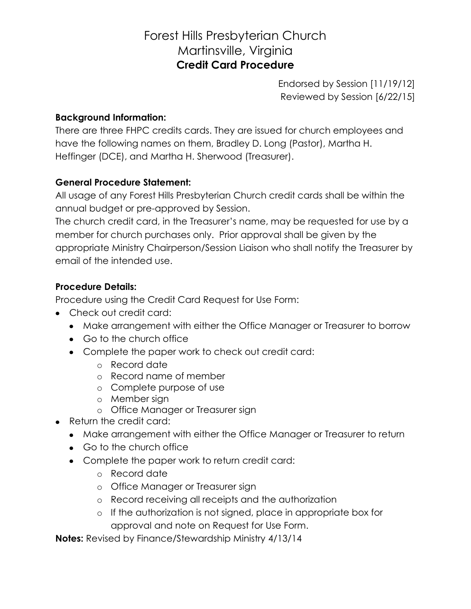# Forest Hills Presbyterian Church Martinsville, Virginia **Credit Card Procedure**

Endorsed by Session [11/19/12] Reviewed by Session [6/22/15]

#### **Background Information:**

There are three FHPC credits cards. They are issued for church employees and have the following names on them, Bradley D. Long (Pastor), Martha H. Heffinger (DCE), and Martha H. Sherwood (Treasurer).

### **General Procedure Statement:**

All usage of any Forest Hills Presbyterian Church credit cards shall be within the annual budget or pre-approved by Session.

The church credit card, in the Treasurer's name, may be requested for use by a member for church purchases only. Prior approval shall be given by the appropriate Ministry Chairperson/Session Liaison who shall notify the Treasurer by email of the intended use.

### **Procedure Details:**

Procedure using the Credit Card Request for Use Form:

- Check out credit card:
	- Make arrangement with either the Office Manager or Treasurer to borrow
	- Go to the church office
	- Complete the paper work to check out credit card:
		- o Record date
		- o Record name of member
		- o Complete purpose of use
		- o Member sign
		- o Office Manager or Treasurer sign
- Return the credit card:
	- Make arrangement with either the Office Manager or Treasurer to return
	- Go to the church office
	- Complete the paper work to return credit card:
		- o Record date
		- o Office Manager or Treasurer sign
		- o Record receiving all receipts and the authorization
		- o If the authorization is not signed, place in appropriate box for approval and note on Request for Use Form.

**Notes:** Revised by Finance/Stewardship Ministry 4/13/14